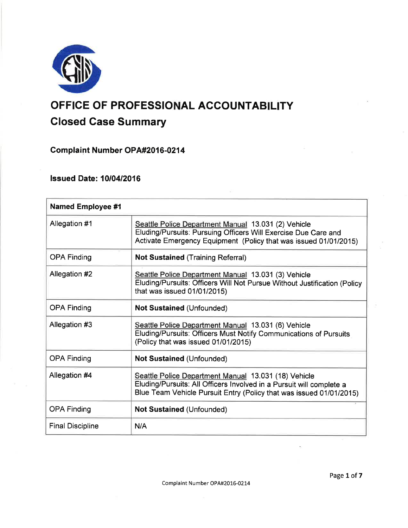

# OFFICE OF PROFESSIONAL ACCOUNTABILITY

# Closed Case Summary

Complaint Number OPA#2016-0214

**lssued Date: 10/04/2016** 

| <b>Named Employee #1</b> |                                                                                                                                                                                                     |
|--------------------------|-----------------------------------------------------------------------------------------------------------------------------------------------------------------------------------------------------|
| Allegation #1            | Seattle Police Department Manual 13.031 (2) Vehicle<br>Eluding/Pursuits: Pursuing Officers Will Exercise Due Care and<br>Activate Emergency Equipment (Policy that was issued 01/01/2015)           |
| <b>OPA Finding</b>       | <b>Not Sustained (Training Referral)</b>                                                                                                                                                            |
| Allegation #2            | Seattle Police Department Manual 13.031 (3) Vehicle<br>Eluding/Pursuits: Officers Will Not Pursue Without Justification (Policy<br>that was issued 01/01/2015)                                      |
| <b>OPA Finding</b>       | <b>Not Sustained (Unfounded)</b>                                                                                                                                                                    |
| Allegation #3            | Seattle Police Department Manual 13.031 (6) Vehicle<br>Eluding/Pursuits: Officers Must Notify Communications of Pursuits<br>(Policy that was issued 01/01/2015)                                     |
| <b>OPA Finding</b>       | Not Sustained (Unfounded)                                                                                                                                                                           |
| Allegation #4            | Seattle Police Department Manual 13.031 (18) Vehicle<br>Eluding/Pursuits: All Officers Involved in a Pursuit will complete a<br>Blue Team Vehicle Pursuit Entry (Policy that was issued 01/01/2015) |
| <b>OPA Finding</b>       | Not Sustained (Unfounded)                                                                                                                                                                           |
| <b>Final Discipline</b>  | N/A                                                                                                                                                                                                 |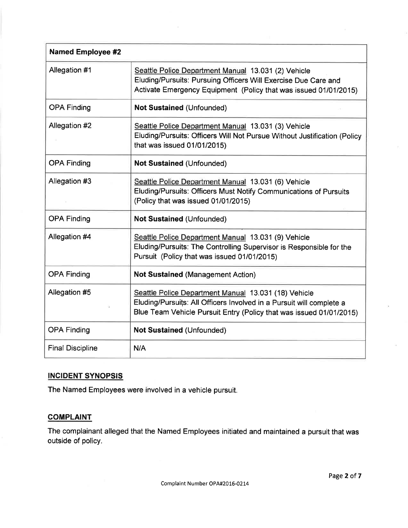| <b>Named Employee #2</b> |                                                                                                                                                                                                     |
|--------------------------|-----------------------------------------------------------------------------------------------------------------------------------------------------------------------------------------------------|
| Allegation #1            | Seattle Police Department Manual 13.031 (2) Vehicle<br>Eluding/Pursuits: Pursuing Officers Will Exercise Due Care and<br>Activate Emergency Equipment (Policy that was issued 01/01/2015)           |
| <b>OPA Finding</b>       | <b>Not Sustained (Unfounded)</b>                                                                                                                                                                    |
| Allegation #2            | Seattle Police Department Manual 13.031 (3) Vehicle<br>Eluding/Pursuits: Officers Will Not Pursue Without Justification (Policy<br>that was issued 01/01/2015)                                      |
| <b>OPA Finding</b>       | <b>Not Sustained (Unfounded)</b>                                                                                                                                                                    |
| Allegation #3            | Seattle Police Department Manual 13.031 (6) Vehicle<br>Eluding/Pursuits: Officers Must Notify Communications of Pursuits<br>(Policy that was issued 01/01/2015)                                     |
| <b>OPA Finding</b>       | <b>Not Sustained (Unfounded)</b>                                                                                                                                                                    |
| Allegation #4            | Seattle Police Department Manual 13.031 (9) Vehicle<br>Eluding/Pursuits: The Controlling Supervisor is Responsible for the<br>Pursuit (Policy that was issued 01/01/2015)                           |
| <b>OPA Finding</b>       | <b>Not Sustained (Management Action)</b>                                                                                                                                                            |
| Allegation #5            | Seattle Police Department Manual 13.031 (18) Vehicle<br>Eluding/Pursuits: All Officers Involved in a Pursuit will complete a<br>Blue Team Vehicle Pursuit Entry (Policy that was issued 01/01/2015) |
| <b>OPA Finding</b>       | <b>Not Sustained (Unfounded)</b>                                                                                                                                                                    |
| <b>Final Discipline</b>  | N/A                                                                                                                                                                                                 |

# INCIDENT SYNOPSIS

The Named Employees were involved in a vehicle pursuit.

# **COMPLAINT**

The complainant alleged that the Named Employees initiated and maintained a pursuit that was outside of policy.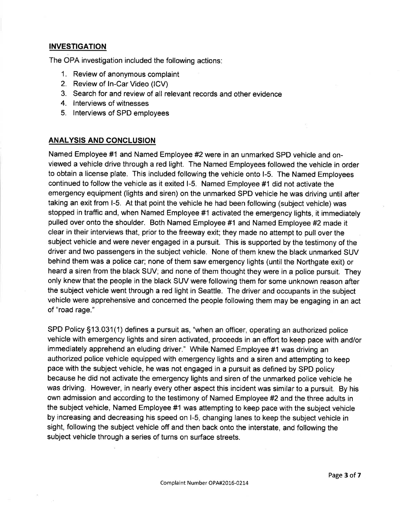## **INVESTIGATION**

The OPA investigation included the following actions:

- 1. Review of anonymous complaint
- 2. Review of ln-Car Video (lCV)
- 3. Search for and review of all relevant records and other evidence
- 4. lnterviews of witnesses
- 5. lnterviews of SPD employees

#### ANALYSIS AND CONCLUSION

Named Employee #1 and Named Employee #2were in an unmarked SPD vehicle and onviewed a vehicle drive through a red light. The Named Employees followed the vehicle in order to obtain a license plate. This included following the vehicle onto l-5. The Named Employees continued to follow the vehicle as it exited l-5. Named Employee #1 did not activate the emergency equipment (lights and siren) on the unmarked SPD vehicle he was driving until after taking an exit from l-5. At that point the vehicle he had been following (subject vehicle) was stopped in traffic and, when Named Employee #1 activated the emergency lights, it immediately pulled over onto the shoulder. Both Named Employee #1 and Named Employee #2 made it clear in their interviews that, prior to the freeway exit; they made no attempt to pull over the subject vehicle and were never engaged in a pursuit. This is supported by the testimony of the driver and two passengers in the subject vehicle. None of them knew the black unmarked SUV behind them was a police car; none of them saw emergency lights (until the Northgate exit) or heard a siren from the black SUV; and none of them thought they were in a police pursuit. They only knew that the people in the black SUV were following them for some unknown reason after the subject vehicle went through a red light in Seattle. The driver and occupants in the subject vehicle were apprehensive and concerned the people following them may be engaging in an act of "road rage."

SPD Policy 513.031(1) defines a pursuit as, "when an officer, operating an authorized police vehicle with emergency lights and siren activated, proceeds in an effort to keep pace with and/or immediately apprehend an eluding driver." While Named Employee #1 was driving an authorized police vehicle equipped with emergency lights and a siren and attempting to keep pace with the subject vehicle, he was not engaged in a pursuit as defined by SPD policy because he did not activate the emergency lights and siren of the unmarked police vehicle he was driving. However, in nearly every other aspect this incident was similar to a pursuit. By his own admission and according to the testimony of Named Employee #2 and the three adults in the subject vehicle, Named Employee #1 was attempting to keep pace with the subject vehicle by increasing and decreasing his speed on l-5, changing lanes to keep the subject vehicle in sight, following the subject vehicle off and then back onto the interstate, and following the subject vehicle through a series of turns on surface streets.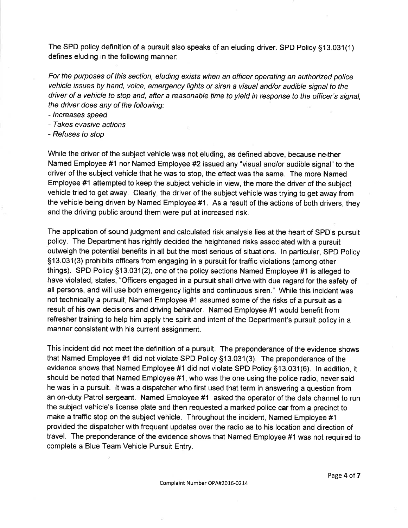The SPD policy definition of a pursuit also speaks of an eluding driver. SPD Policy §13.031(1) defines eluding in the following manner:

For the purposes of this section, eluding exists when an officer operating an authorized police vehicle issues by hand, voice, emergency lights or siren a visual and/or audible signal to the driver of a vehicle to stop and, after a reasonable time to yield in response to the officer's signal, the driver does any of the following:

- /ncreases speed
- Takes evasive actions
- Refuses to stop

While the driver of the subject vehicle was not eluding, as defined above, because neither Named Employee #1 nor Named Employee #2 issued any "visual and/or audible signal" to the driver of the subject vehicle that he was to stop, the effect was the same. The more Named Employee #1 attempted to keep the subject vehicle in view, the more the driver of the subject vehicle tried to get away. Clearly, the driver of the subject vehicle was trying to get away from the vehicle being driven by Named Employee #1. As a result of the actions of both drivers, they and the driving public around them were put at increased risk.

The application of sound judgment and calculated risk analysis lies at the heart of SPD's pursuit policy. The Department has rightly decided the heightened risks associated with a pursuit outweigh the potential benefits in all but the most serious of situations. ln particular, SPD Policy 513.031(3) prohibits officers from engaging in a pursuit for traffic violations (among other things). SPD Policy Sf 3.031(2), one of the policy sections Named Employee #1 is alleged to have violated,.states, "Officers engaged in a pursuit shall drive with due regard for the safety of all persons, and will use both emergency lights and continuous siren." While this incident was not technically a pursuit, Named Employee #1 assumed some of the risks of a pursuit as a result of his own decisions and driving behavior. Named Employee #1 would benefit from refresher training to help him apply the spirit and intent of the Department's pursuit policy in a manner consistent with his current assignment.

This incident did not meet the definition of a pursuit. The preponderance of the evidence shows that Named Employee #1 did not violate SPD Policy 513.031(3). The preponderance of the evidence shows that Named Employee #1 did not violate SPD Policy 513.031(6). ln addition, it should be noted that Named Employee #1, who was the one using the police radio, never said he was in a pursuit. lt was a dispatcher who first used that term in answering a question from an on-duty Patrol sergeant. Named Employee #1 asked the operator of the data channel to run the subject vehicle's license plate and then requested a marked police car from a precinct to make a traffic stop on the subject vehicle. Throughout the incident, Named Employee #1 provided the dispatcher with frequent updates over the radio as to his location and direction of travel. The preponderance of the evidence shows that Named Employee #1 was not required to complete a Blue Team Vehicle Pursuit Entry.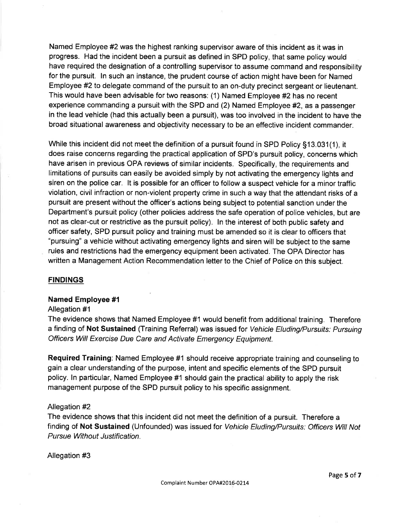Named Employee #2 was the highest ranking supervisor aware of this incident as it was in progress. Had the incident been a pursuit as defined in SPD policy, that same policy would have required the designation of a controlling supervisor to assume command and responsibility for the pursuit. ln such an instance, the prudent course of action might have been for Named Employee #2 to delegate command of the pursuit to an on-duty precinct sergeant or lieutenant. This would have been advisable for two reasons: (1) Named Employee #2has no recent experience commanding a pursuit with the SPD and (2) Named Employee #2, as a passenger in the lead vehicle (had this actually been a pursuit), was too involved in the incident to have the broad situational awareness and objectivity necessary to be an effective incident commander.

While this incident did not meet the definition of a pursuit found in SPD Policy 513.031(1), it does raise concerns regarding the practical application of SPD's pursuit policy, concerns which have arisen in previous OPA reviews of similar incidents. Specifically, the requirements and limitations of pursuits can easily be avoided simply by not activating the emergency lights and siren on the police car. lt is possible for an officer to follow a suspect vehicle for a minor traffic violation, civil infraction or non-violent property crime in such a way that the attendant risks of a pursuit are present without the officer's actions being subject to potential sanction under the Department's pursuit policy (other policies address the safe operation of police vehicles, but are not as clear-cut or restrictive as the pursuit policy). ln the interest of both public safety and officer safety, SPD pursuit policy and training must be amended so it is clear to officers that "pursuing" a vehicle without activating emergency lights and siren will be subject to the same rules and restrictions had the emergency equipment been activated. The OPA Director has written a Management Action Recommendation letter to the Chief of Police on this subject.

#### **FINDINGS**

#### Named Employee #1

#### Allegation #1

The evidence shows that Named Employee #1 would benefit from additional training. Therefore a finding of Not Sustained (Training Referral) was issued for Vehicle Eluding/Pursuits: Pursuing Officers Will Exercise Due Care and Activate Emergency Equipment.

Required Training: Named Employee #1 should receive appropriate training and counseling to gain a clear understanding of the purpose, intent and specific elements of the SPD pursuit policy. ln particular, Named Employee #1 should gain the practical ability to apply the risk management purpose of the SPD pursuit policy to his specific assignment.

#### Allegation #2

The evidence shows that this incident did not meet the definition of a pursuit. Therefore a finding of Not Sustained (Unfounded) was issued for Vehicle Eluding/Pursuits: Officers Will Not Pursue Without Justification.

Allegation #3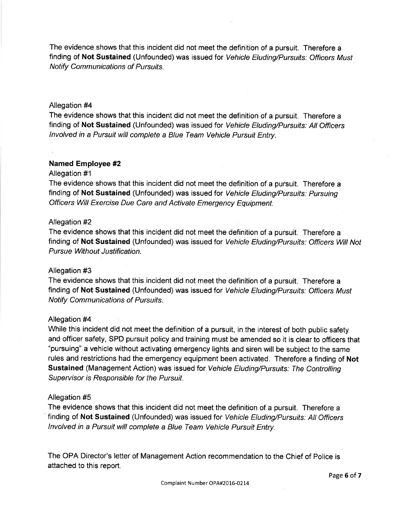The evidence shows that this incident did not meet the definition of a pursuit. Therefore a finding of Not Sustained (Unfounded) was issued for Vehicle Eluding/Pursuits: Officers Must Notify Communications of Pursuits.

#### Allegation #4

The evidence shows that this incident did not meet the definition of a pursuit. Therefore a finding of Not Sustained (Unfounded) was issued for Vehicle Eluding/Pursuits: All Officers lnvolved in a Pursuit will complete a Blue Team Vehicle Pursuit Entry.

## Named Employee #2

#### Allegation #1

The evidence shows that this incident did not meet the definition of a pursuit. Therefore a finding of Not Sustained (Unfounded) was issued for Vehicle Eluding/Pursuits: Pursuing Officers Will Exercise Due Care and Activate Emergency Equipment.

#### Allegation #2

The evidence shows that this incident did not meet the definition of a pursuit. Therefore a finding of Not Sustained (Unfounded) was issued for Vehicle Eluding/Pursuits: Officers Will Not Pursue Without Justification.

#### Allegation #3

The evidence shows that this incident did not meet the definition of a pursuit. Therefore a finding of Not Sustained (Unfounded) was issued for Vehicle Eluding/Pursuifs: Officers Must Notify Communications of Pursuits.

#### Allegation #4

While this incident did not meet the definition of a pursuit, in the interest of both public safety and officer safety, SPD pursuit policy and training must be amended so it is clear to officers that "pursuing" a vehicle without activating emergency lights and siren will be subject to the same rules and restrictions had the emergency equipment been activated. Therefore a finding of Not Sustained (Management Action) was issued for Vehicle Eluding/Pursuits: The Controlling Supervisor is Responsible for the Pursuit.

#### Allegation #5

The evidence shows that this incident did not meet the definition of a pursuit. Therefore a finding of Not Sustained (Unfounded) was issued for Vehicle Eluding/Pursuits: All Officers lnvolved in a Pursuit will complete a Blue Team Vehicle Pursuit Entry.

The OPA Director's letter of Management Action recommendation to the Chief of Police is attached to this report.

Page 6 of 7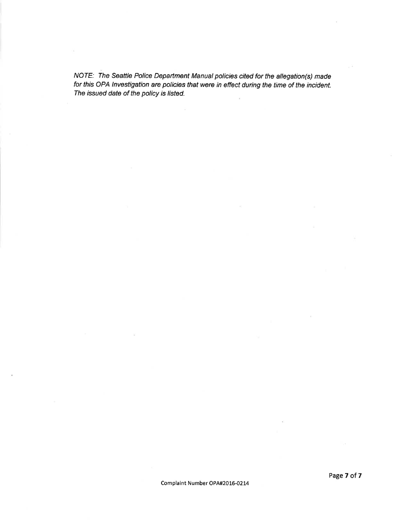NOTE: The Seattle Police Department Manual policies cited for the allegation(s) made for this OPA lnvestigation are policies that were in effect during the time of the incident. The issued date of the policy is listed.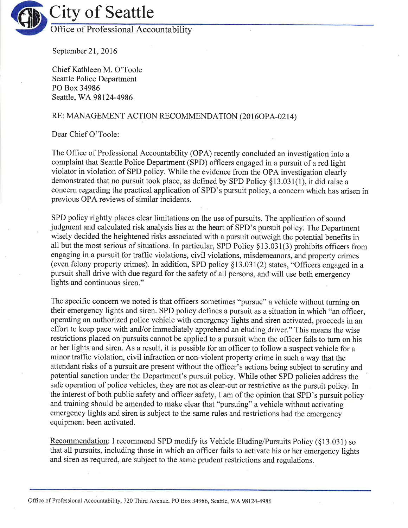

September 21, 2016

Chief Kathleen M. O'Toole Seattle Police Department PO Box 34986 Seattle, WA 98124-4986

# RE: MANAGEMENT ACTION RECOMMENDATION (2016OPA-0214)

Dear Chief O'Toole:

The Office of Professional Accountability (OPA) recently concluded an investigation into a complaint that Seattle Police Department (SPD) officers engaged in a pursuit of a red light violator in violation of SPD policy. While the evidence from the OPA investigation clearly demonstrated that no pursuit took place, as defined by SPD Policy  $$13.031(1)$ , it did raise a concem regarding the practical application of SPD's pursuit policy, a concern which has arisen in previous OPA reviews of similar incidents.

SPD policy rightly places clear limitations on the use of pursuits. The application of sound judgment and calculated risk analysis lies at the heart of SPD's pursuit policy. The Department wisely decided the heightened risks associated with a pursuit outweigh the potential benefits in all but the most serious of situations. In particular, SPD Policy  $§13.031(3)$  prohibits officers from engaging in a pursuit for traffic violations, civil violations, misdemeanors, and property crimes (even felony property crimes). In addition, SPD policy  $$13.031(2)$  states, "Officers engaged in a pursuit shall drive with due regard for the safety of all persons, and will use both emergency lights and continuous siren."

The specific concern we noted is that officers sometimes "pursue" a vehicle without tuming on their emergency lights and siren. SPD policy defines a pursuit as a situation in which "an officer, operating an authorized police vehicle with emergency lights and siren activated, proceeds in an effort to keep pace with and/or immediately apprehend an eluding driver." This means the wise restrictions placed on pursuits cannot be applied to a pursuit when the officer fails to turn on his or her lights and siren. As a result, it is possible for an officer to follow a suspect vehicle for <sup>a</sup> minor traffic violation, civil infraction or non-violent property crime in such away that the attendant risks of a pursuit are present without the officer's actions being subject to scrutiny and potential sanction under the Department's pursuit policy. While other SPD policies address the safe operation of police vehicles, they are not as clear-cut or restrictive as the pursuit policy. In the interest of both public safety and officer safety, I am of the opinion that SPD's pursuit policy and training should be amended to make clear that "pursuing" a vehicle without activating emergency lights and siren is subject to the same rules and restrictions had the emergency equipment been activated.

Recommendation: I recommend SPD modify its Vehicle Eluding/Pursuits Policy  $(813.031)$  so that all pursuits, including those in which an officer fails to activate his or her emergency lights and siren as required, are subject to the same prudent restrictions and regulations.